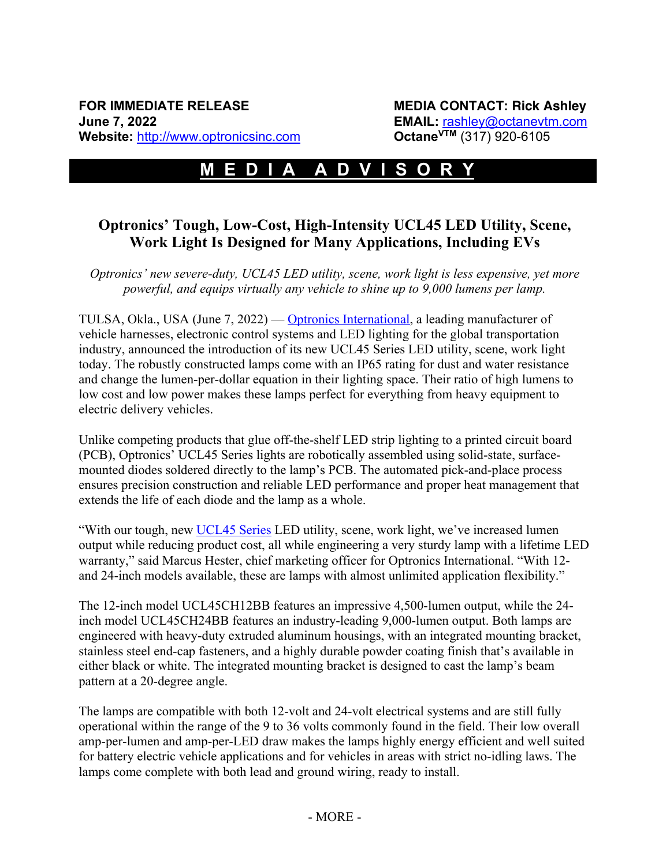## **M E D I A A D V I S O R Y-……**

## **Optronics' Tough, Low-Cost, High-Intensity UCL45 LED Utility, Scene, Work Light Is Designed for Many Applications, Including EVs**

*Optronics' new severe-duty, UCL45 LED utility, scene, work light is less expensive, yet more powerful, and equips virtually any vehicle to shine up to 9,000 lumens per lamp.*

TULSA, Okla., USA (June 7, 2022) — Optronics International, a leading manufacturer of vehicle harnesses, electronic control systems and LED lighting for the global transportation industry, announced the introduction of its new UCL45 Series LED utility, scene, work light today. The robustly constructed lamps come with an IP65 rating for dust and water resistance and change the lumen-per-dollar equation in their lighting space. Their ratio of high lumens to low cost and low power makes these lamps perfect for everything from heavy equipment to electric delivery vehicles.

Unlike competing products that glue off-the-shelf LED strip lighting to a printed circuit board (PCB), Optronics' UCL45 Series lights are robotically assembled using solid-state, surfacemounted diodes soldered directly to the lamp's PCB. The automated pick-and-place process ensures precision construction and reliable LED performance and proper heat management that extends the life of each diode and the lamp as a whole.

"With our tough, new UCL45 Series LED utility, scene, work light, we've increased lumen output while reducing product cost, all while engineering a very sturdy lamp with a lifetime LED warranty," said Marcus Hester, chief marketing officer for Optronics International. "With 12 and 24-inch models available, these are lamps with almost unlimited application flexibility."

The 12-inch model UCL45CH12BB features an impressive 4,500-lumen output, while the 24 inch model UCL45CH24BB features an industry-leading 9,000-lumen output. Both lamps are engineered with heavy-duty extruded aluminum housings, with an integrated mounting bracket, stainless steel end-cap fasteners, and a highly durable powder coating finish that's available in either black or white. The integrated mounting bracket is designed to cast the lamp's beam pattern at a 20-degree angle.

The lamps are compatible with both 12-volt and 24-volt electrical systems and are still fully operational within the range of the 9 to 36 volts commonly found in the field. Their low overall amp-per-lumen and amp-per-LED draw makes the lamps highly energy efficient and well suited for battery electric vehicle applications and for vehicles in areas with strict no-idling laws. The lamps come complete with both lead and ground wiring, ready to install.